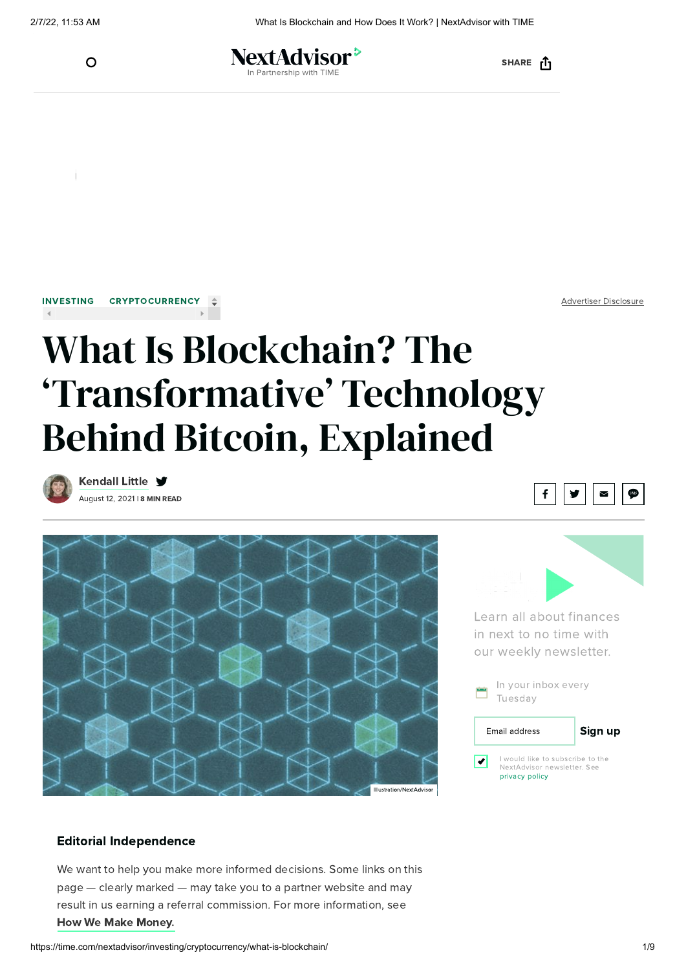

NextAdvisor<sup>></sup> Partnership with TIMI

SHARE <sub>[1</sub>

[INVESTING](https://time.com/nextadvisor/investing/) [CRYPTOCURRENCY](https://time.com/nextadvisor/investing/cryptocurrency/)

Advertiser Disclosure

# What Is Blockchain? The 'Transformative' Technology Behind Bitcoin, Explained



August 12, 2021 | 8 MIN READ [Kendall](https://time.com/nextadvisor/authors/kendall-little/) Little ♥







Learn all about finances in next to no time with our weekly newsletter.

| In your inbox every<br>÷<br>Tuesday                                               |                      |         |
|-----------------------------------------------------------------------------------|----------------------|---------|
|                                                                                   | <b>Email address</b> | Sign up |
| I would like to subscribe to the<br>NextAdvisor newsletter. See<br>privacy policy |                      |         |

#### Editorial Independence

We want to help you make more informed decisions. Some links on this page — clearly marked — may take you to a partner website and may result in us earning a referral commission. For more information, see How We Make [Money.](https://time.com/nextadvisor/about-us/#makemoney)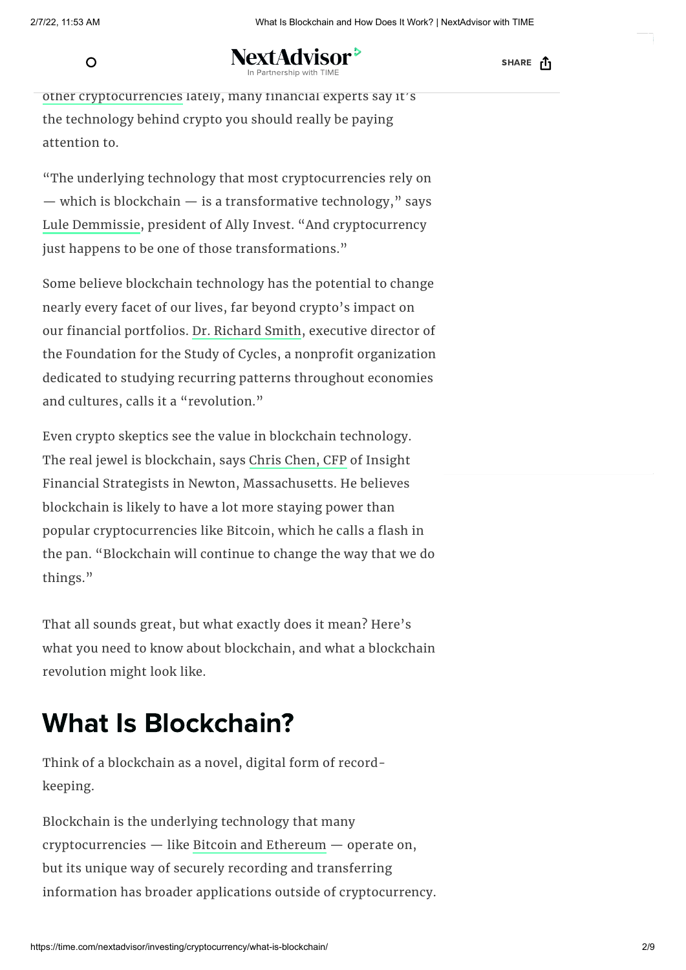$\Omega$ 

NextAdvisor<sup>></sup> In Partnership with TIME

[SHARE](https://adclick.g.doubleclick.net/aclk?sa=l&ai=CiNeC1rcAYuibIrGmrtoPgOaG8ArviMeRaM_bpNrvD9H63P6WDhABIPe7x4MBYOXC5IOkDqABsL-OwgHIAQmpAl_p15Liv0w-4AIAqAMByAMKqgSMAk_Q6BeSjr1BCHEMM453R0rWiAzspdxSP1yDBluez8yJY6Iyy3MgBQfcj4UVzcePfINBCCY6EJREQwAwktv7fogpyM6614wva9YIHFX-KseDXxPxvSDSu7-4KTFbJv63BgEswB71A4Y0tgEygc0sWHtWF3E10giKz4d-VZOcI1frPLhm5zYdj0C20GIPmrDwWLuL4BTpjALNy5ygRbfmMuGRZVsQot1gYzkr8mWfBWyyYZJqup1ICa7t4e5rZARq4Koo3zjmoSyyAtomppS91pDh9nFpumV2mBscBLax_Y7ybz2M-EPHejboI3bIR9DO8xhslVZ2mPSjQ5eVeF9SObEBrUj28MSENob32cnABJ7w5JDeA-AEAYgF_cCG1zigBi6AB7jA8b0CqAeOzhuoB5PYG6gH7paxAqgH_p6xAqgH1ckbqAemvhuoB_PRG6gHltgbqAeqm7ECqAffn7EC2AcA0ggJCITjgEAQARgdsQkU94HMFUJdx4AKA5gLAcgLAYAMAbgMAbgTiCfYEw36FLYBCgUIkgQwIRCdp7KaThqAAQgBEnwKcGh0dHBzOi8vc2NyaXB0Lmdvb2dsZS5jb20vbWFjcm9zL3MvQUtmeWNieHlJN1hpZmdWV25qWFZzNGNYN3ZiM1hLTk5qYy0xc2cyeDN3ODV5SGU0VzlPZDBhdndmQUR3d3BvMF93YkVxSnprL2V4ZWMaBkdvb2dsZSABIgIIASICCAgiAggDIgIIBCICCAkiAggKIgMIpQgiAwipCDAAOADQFQGYFgH4FgGAFwE&ae=1&num=1&cid=CAAScORo0pH5rrN1zAPA2rp7L-3FhmIJhlp9Mgm3_1xygDIvCM7ot3zbJSE9l30qZb9aCRj0l1sh-FVdTlxtbOVAjgu0nmTqckN2UhG9V3a6z-uzVP9mDPfk8rt_rZAo_66mVJmyCFjbK3tmZnWYL2ArQSo&sig=AOD64_23Xnpl9Ra8aATtAbhk6Fsy86HFlQ&client=ca-pub-8820362605711196&nb=9&adurl=http://campaign.leadschool.in/mathematics/%3Futm_source%3Dgoogle%26utm_medium%3DDisplay%26utm_campaign%3DLS_B2C_GDN_North_Zone_Eng-Hin_HP_LPT_30-12-21%26utm_term%3DIn-Market_Admission%26utm_device_c%26utm_placement_time.com%26gclid%3DEAIaIQobChMI6N6Wqffs9QIVMZNLBR0AswGuEAEYASAAEgKIhfD_BwE) <sub>[1</sub>

other [cryptocurrencies](https://time.com/nextadvisor/investing/cryptocurrency/types-of-cryptocurrency/) lately, many financial experts say it's the technology behind crypto you should really be paying attention to.

"The underlying technology that most cryptocurrencies rely on  $-$  which is blockchain  $-$  is a transformative technology," says Lule [Demmissie,](https://www.linkedin.com/in/luled/) president of Ally Invest. "And cryptocurrency just happens to be one of those transformations."

Some believe blockchain technology has the potential to change nearly every facet of our lives, far beyond crypto's impact on our financial portfolios. Dr. [Richard](https://cycles.org/about_us/board_and_staff/) Smith, executive director of the Foundation for the Study of Cycles, a nonprofit organization dedicated to studying recurring patterns throughout economies and cultures, calls it a "revolution."

Even crypto skeptics see the value in blockchain technology. The real jewel is blockchain, says Chris [Chen,](https://insightfinancialstrategists.com/) CFP of Insight Financial Strategists in Newton, Massachusetts. He believes blockchain is likely to have a lot more staying power than popular cryptocurrencies like Bitcoin, which he calls a flash in the pan. "Blockchain will continue to change the way that we do things."

That all sounds great, but what exactly does it mean? Here's what you need to know about blockchain, and what a blockchain revolution might look like.

## What Is Blockchain?

Think of a blockchain as a novel, digital form of recordkeeping.

Blockchain is the underlying technology that many cryptocurrencies — like Bitcoin and [Ethereum](https://time.com/nextadvisor/investing/cryptocurrency/ethereum-vs-bitcoin/) — operate on, but its unique way of securely recording and transferring information has broader applications outside of cryptocurrency.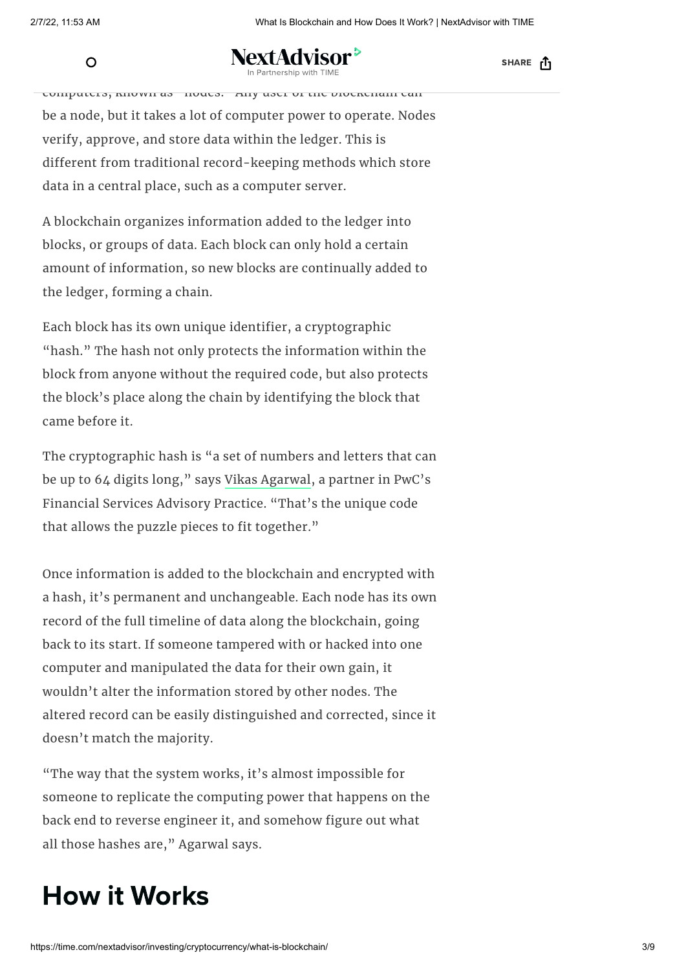NextAdvisor<sup>></sup> technology (DLT) and the cordinate cordinate cordinate cordinate cordinate cordinate in Partnership with TIME

SHARE <sub>[1</sub>

computers, known as "nodes." Any user of the blockchain can be a node, but it takes a lot of computer power to operate. Nodes verify, approve, and store data within the ledger. This is different from traditional record-keeping methods which store data in a central place, such as a computer server.

A blockchain organizes information added to the ledger into blocks, or groups of data. Each block can only hold a certain amount of information, so new blocks are continually added to the ledger, forming a chain.

Each block has its own unique identifier, a cryptographic "hash." The hash not only protects the information within the block from anyone without the required code, but also protects the block's place along the chain by identifying the block that came before it.

The cryptographic hash is "a set of numbers and letters that can be up to 64 digits long," says Vikas [Agarwal](https://www.pwc.com/us/en/contacts/v/vikas-k-agarwal.html), a partner in PwC's Financial Services Advisory Practice. "That's the unique code that allows the puzzle pieces to fit together."

Once information is added to the blockchain and encrypted with a hash, it's permanent and unchangeable. Each node has its own record of the full timeline of data along the blockchain, going back to its start. If someone tampered with or hacked into one computer and manipulated the data for their own gain, it wouldn't alter the information stored by other nodes. The altered record can be easily distinguished and corrected, since it doesn't match the majority.

"The way that the system works, it's almost impossible for someone to replicate the computing power that happens on the back end to reverse engineer it, and somehow figure out what all those hashes are," Agarwal says.

#### How it Works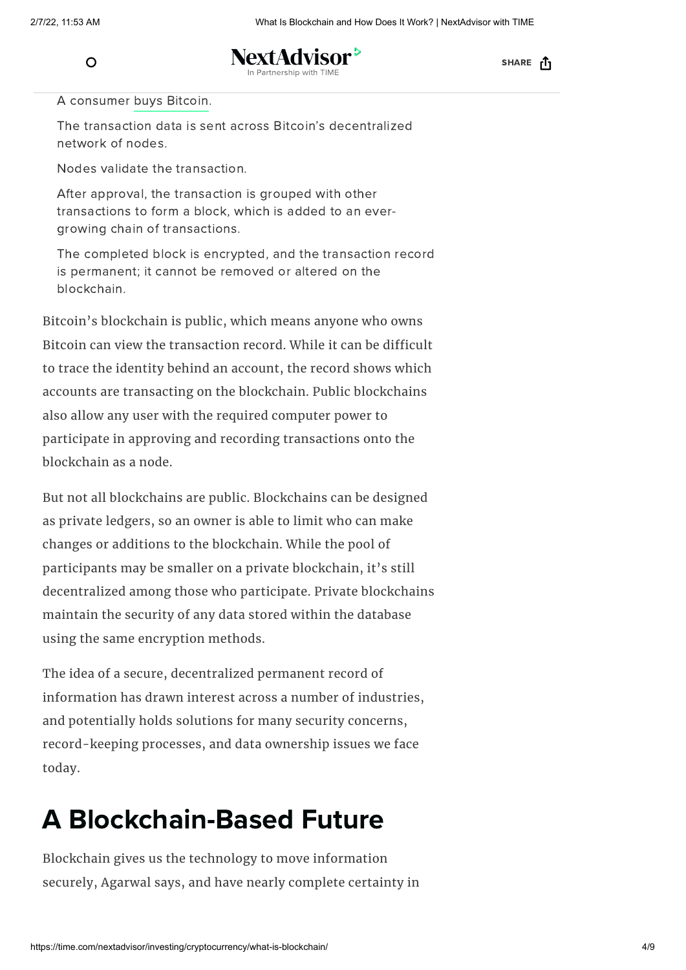

JextAdvisor <sup>></sup> artnership with TIM

SHARE <sub>[1</sub>

A consumer buys [Bitcoin](https://time.com/nextadvisor/investing/cryptocurrency/how-to-buy-bitcoin/).

The transaction data is sent across Bitcoin's decentralized network of nodes.

Nodes validate the transaction.

After approval, the transaction is grouped with other transactions to form a block, which is added to an evergrowing chain of transactions.

The completed block is encrypted, and the transaction record is permanent; it cannot be removed or altered on the blockchain.

Bitcoin's blockchain is public, which means anyone who owns Bitcoin can view the transaction record. While it can be difficult to trace the identity behind an account, the record shows which accounts are transacting on the blockchain. Public blockchains also allow any user with the required computer power to participate in approving and recording transactions onto the blockchain as a node.

But not all blockchains are public. Blockchains can be designed as private ledgers, so an owner is able to limit who can make changes or additions to the blockchain. While the pool of participants may be smaller on a private blockchain, it's still decentralized among those who participate. Private blockchains maintain the security of any data stored within the database using the same encryption methods.

The idea of a secure, decentralized permanent record of information has drawn interest across a number of industries, and potentially holds solutions for many security concerns, record-keeping processes, and data ownership issues we face today.

### A Blockchain-Based Future

Blockchain gives us the technology to move information securely, Agarwal says, and have nearly complete certainty in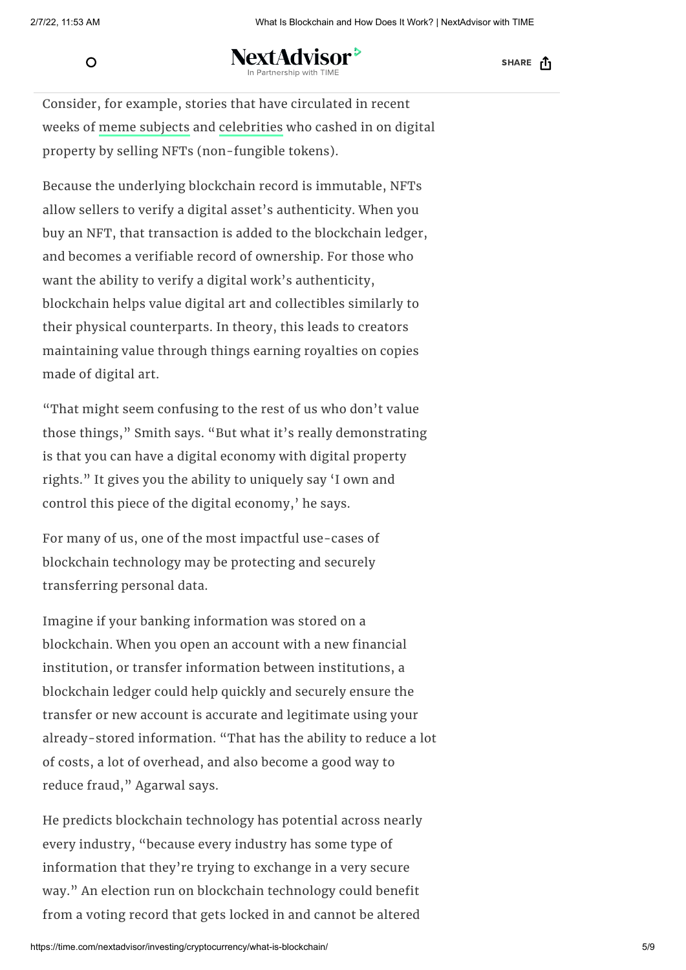to protect.

### NextAdvisor<sup>></sup>

SHARE <sub>[1</sub>

Consider, for example, stories that have circulated in recent weeks of meme [subjects](https://www.npr.org/2021/04/30/992383825/disaster-girl-the-stuff-of-memes-sells-for-nearly-500-000-as-nft) and [celebrities](https://www.cnn.com/2021/04/06/tech/tom-brady-nft-autograph/index.html) who cashed in on digital property by selling NFTs (non-fungible tokens).

Because the underlying blockchain record is immutable, NFTs allow sellers to verify a digital asset's authenticity. When you buy an NFT, that transaction is added to the blockchain ledger, and becomes a verifiable record of ownership. For those who want the ability to verify a digital work's authenticity, blockchain helps value digital art and collectibles similarly to their physical counterparts. In theory, this leads to creators maintaining value through things earning royalties on copies made of digital art.

"That might seem confusing to the rest of us who don't value those things," Smith says. "But what it's really demonstrating is that you can have a digital economy with digital property rights." It gives you the ability to uniquely say 'I own and control this piece of the digital economy,' he says.

For many of us, one of the most impactful use-cases of blockchain technology may be protecting and securely transferring personal data.

Imagine if your banking information was stored on a blockchain. When you open an account with a new financial institution, or transfer information between institutions, a blockchain ledger could help quickly and securely ensure the transfer or new account is accurate and legitimate using your already-stored information. "That has the ability to reduce a lot of costs, a lot of overhead, and also become a good way to reduce fraud," Agarwal says.

He predicts blockchain technology has potential across nearly every industry, "because every industry has some type of information that they're trying to exchange in a very secure way." An election run on blockchain technology could benefit from a voting record that gets locked in and cannot be altered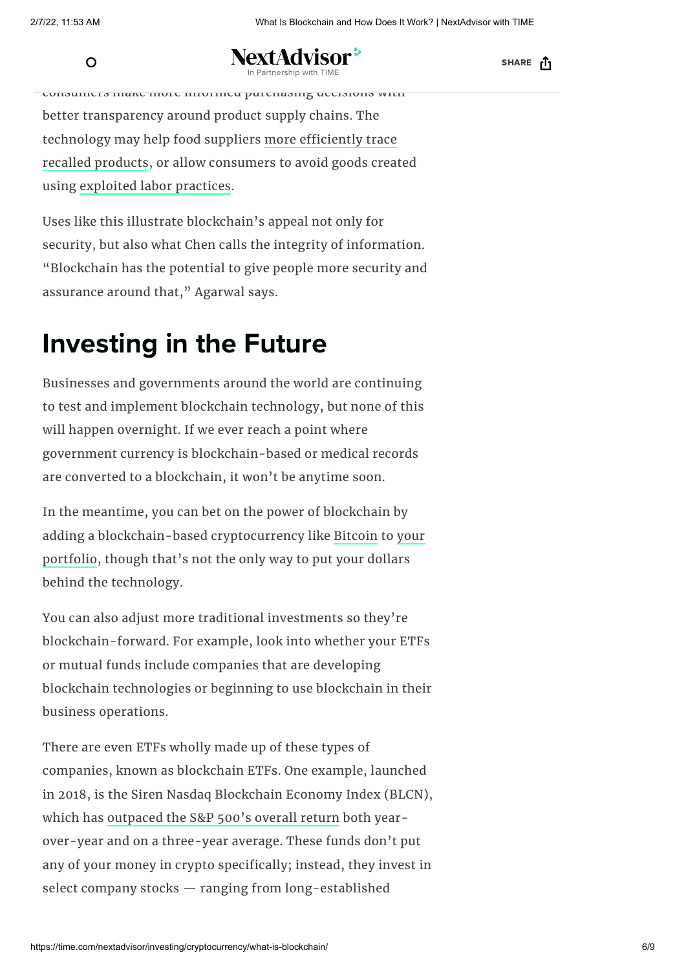NextAdvisor<sup>></sup> inventory records using blockchain could be a state of the could be a state of the could be a state of the could be a state of the could be a state of the could be a state of the could be a state of the could be a state of

SHARE <sub>[1</sub>

consumers make more informed purchasing decisions with better transparency around product supply chains. The [technology](https://www.coindesk.com/dole-blockchain-food-tracing-safety-supply-chain) may help food suppliers more efficiently trace recalled products, or allow consumers to avoid goods created using [exploited](https://reliefweb.int/report/world/how-humanitarian-blockchain-can-deliver-fair-labor-global-supply-chains) labor practices.

Uses like this illustrate blockchain's appeal not only for security, but also what Chen calls the integrity of information. "Blockchain has the potential to give people more security and assurance around that," Agarwal says.

### Investing in the Future

Businesses and governments around the world are continuing to test and implement blockchain technology, but none of this will happen overnight. If we ever reach a point where government currency is blockchain-based or medical records are converted to a blockchain, it won't be anytime soon.

In the meantime, you can bet on the power of blockchain by adding a [blockchain-based](https://time.com/nextadvisor/investing/cryptocurrency/questions-to-ask-before-buying-cryptocurrency/) cryptocurrency like [Bitcoin](https://time.com/nextadvisor/investing/cryptocurrency/what-is-bitcoin/) to your portfolio, though that's not the only way to put your dollars behind the technology.

You can also adjust more traditional investments so they're blockchain-forward. For example, look into whether your ETFs or mutual funds include companies that are developing blockchain technologies or beginning to use blockchain in their business operations.

There are even ETFs wholly made up of these types of companies, known as blockchain ETFs. One example, launched in 2018, is the Siren Nasdaq Blockchain Economy Index (BLCN), which has [outpaced](https://www.etf.com/etfanalytics/etf-comparison/BLCN-vs-SPY) the S&P 500's overall return both yearover-year and on a three-year average. These funds don't put any of your money in crypto specifically; instead, they invest in select company stocks — ranging from long-established